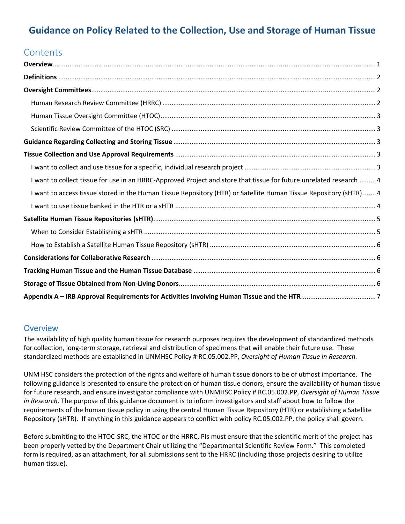# **Guidance on Policy Related to the Collection, Use and Storage of Human Tissue**

# **Contents**

| I want to collect tissue for use in an HRRC-Approved Project and store that tissue for future unrelated research  4 |  |
|---------------------------------------------------------------------------------------------------------------------|--|
| I want to access tissue stored in the Human Tissue Repository (HTR) or Satellite Human Tissue Repository (sHTR)  4  |  |
|                                                                                                                     |  |
|                                                                                                                     |  |
|                                                                                                                     |  |
|                                                                                                                     |  |
|                                                                                                                     |  |
|                                                                                                                     |  |
|                                                                                                                     |  |
|                                                                                                                     |  |

### **Overview**

The availability of high quality human tissue for research purposes requires the development of standardized methods for collection, long-term storage, retrieval and distribution of specimens that will enable their future use. These standardized methods are established in UNMHSC Policy # RC.05.002.PP, *Oversight of Human Tissue in Research.*

UNM HSC considers the protection of the rights and welfare of human tissue donors to be of utmost importance. The following guidance is presented to ensure the protection of human tissue donors, ensure the availability of human tissue for future research, and ensure investigator compliance with UNMHSC Policy # RC.05.002.PP, *Oversight of Human Tissue in Research*. The purpose of this guidance document is to inform investigators and staff about how to follow the requirements of the human tissue policy in using the central Human Tissue Repository (HTR) or establishing a Satellite Repository (sHTR). If anything in this guidance appears to conflict with policy RC.05.002.PP, the policy shall govern.

Before submitting to the HTOC‐SRC, the HTOC or the HRRC, PIs must ensure that the scientific merit of the project has been properly vetted by the Department Chair utilizing the "Departmental Scientific Review Form." This completed form is required, as an attachment, for all submissions sent to the HRRC (including those projects desiring to utilize human tissue).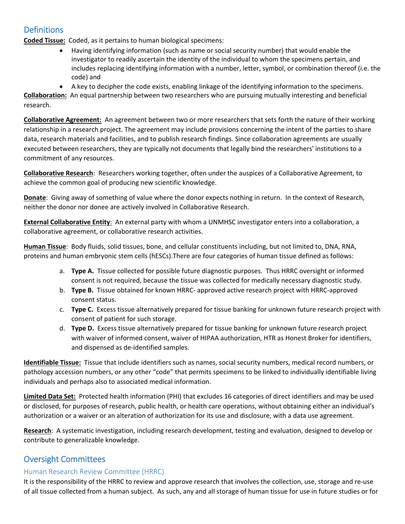# **Definitions**

**Coded Tissue:** Coded, as it pertains to human biological specimens:

- Having identifying information (such as name or social security number) that would enable the investigator to readily ascertain the identity of the individual to whom the specimens pertain, and includes replacing identifying information with a number, letter, symbol, or combination thereof (i.e. the code) and
- A key to decipher the code exists, enabling linkage of the identifying information to the specimens.

**Collaboration:** An equal partnership between two researchers who are pursuing mutually interesting and beneficial research.

**Collaborative Agreement:** An agreement between two or more researchers that sets forth the nature of their working relationship in a research project. The agreement may include provisions concerning the intent of the parties to share data, research materials and facilities, and to publish research findings. Since collaboration agreements are usually executed between researchers, they are typically not documents that legally bind the researchers' institutions to a commitment of any resources.

**Collaborative Research**: Researchers working together, often under the auspices of a Collaborative Agreement, to achieve the common goal of producing new scientific knowledge.

**Donate**: Giving away of something of value where the donor expects nothing in return. In the context of Research, neither the donor nor donee are actively involved in Collaborative Research.

**External Collaborative Entity**: An external party with whom a UNMHSC investigator enters into a collaboration, a collaborative agreement, or collaborative research activities.

**Human Tissue**: Body fluids, solid tissues, bone, and cellular constituents including, but not limited to, DNA, RNA, proteins and human embryonic stem cells (hESCs).There are four categories of human tissue defined as follows:

- a. **Type A.** Tissue collected for possible future diagnostic purposes. Thus HRRC oversight or informed consent is not required, because the tissue was collected for medically necessary diagnostic study.
- b. **Type B.** Tissue obtained for known HRRC‐ approved active research project with HRRC‐approved consent status.
- c. **Type C.** Excess tissue alternatively prepared for tissue banking for unknown future research project with consent of patient for such storage.
- d. **Type D.** Excess tissue alternatively prepared for tissue banking for unknown future research project with waiver of informed consent, waiver of HIPAA authorization, HTR as Honest Broker for identifiers, and dispensed as de‐identified samples.

**Identifiable Tissue:** Tissue that include identifiers such as names, social security numbers, medical record numbers, or pathology accession numbers, or any other "code" that permits specimens to be linked to individually identifiable living individuals and perhaps also to associated medical information.

**Limited Data Set:** Protected health information (PHI) that excludes 16 categories of direct identifiers and may be used or disclosed, for purposes of research, public health, or health care operations, without obtaining either an individual's authorization or a waiver or an alteration of authorization for its use and disclosure, with a data use agreement.

**Research**: A systematic investigation, including research development, testing and evaluation, designed to develop or contribute to generalizable knowledge.

# Oversight Committees

#### Human Research Review Committee (HRRC)

It is the responsibility of the HRRC to review and approve research that involves the collection, use, storage and re‐use of all tissue collected from a human subject. As such, any and all storage of human tissue for use in future studies or for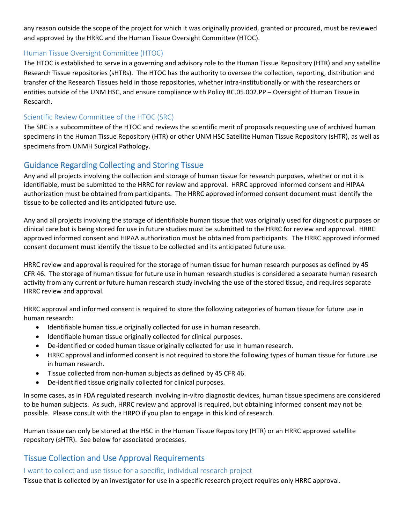any reason outside the scope of the project for which it was originally provided, granted or procured, must be reviewed and approved by the HRRC and the Human Tissue Oversight Committee (HTOC).

### Human Tissue Oversight Committee (HTOC)

The HTOC is established to serve in a governing and advisory role to the Human Tissue Repository (HTR) and any satellite Research Tissue repositories (sHTRs). The HTOC has the authority to oversee the collection, reporting, distribution and transfer of the Research Tissues held in those repositories, whether intra‐institutionally or with the researchers or entities outside of the UNM HSC, and ensure compliance with Policy RC.05.002.PP – Oversight of Human Tissue in Research.

### Scientific Review Committee of the HTOC (SRC)

The SRC is a subcommittee of the HTOC and reviews the scientific merit of proposals requesting use of archived human specimens in the Human Tissue Repository (HTR) or other UNM HSC Satellite Human Tissue Repository (sHTR), as well as specimens from UNMH Surgical Pathology.

# Guidance Regarding Collecting and Storing Tissue

Any and all projects involving the collection and storage of human tissue for research purposes, whether or not it is identifiable, must be submitted to the HRRC for review and approval. HRRC approved informed consent and HIPAA authorization must be obtained from participants. The HRRC approved informed consent document must identify the tissue to be collected and its anticipated future use.

Any and all projects involving the storage of identifiable human tissue that was originally used for diagnostic purposes or clinical care but is being stored for use in future studies must be submitted to the HRRC for review and approval. HRRC approved informed consent and HIPAA authorization must be obtained from participants. The HRRC approved informed consent document must identify the tissue to be collected and its anticipated future use.

HRRC review and approval is required for the storage of human tissue for human research purposes as defined by 45 CFR 46. The storage of human tissue for future use in human research studies is considered a separate human research activity from any current or future human research study involving the use of the stored tissue, and requires separate HRRC review and approval.

HRRC approval and informed consent is required to store the following categories of human tissue for future use in human research:

- Identifiable human tissue originally collected for use in human research.
- Identifiable human tissue originally collected for clinical purposes.
- De-identified or coded human tissue originally collected for use in human research.
- HRRC approval and informed consent is not required to store the following types of human tissue for future use in human research.
- Tissue collected from non‐human subjects as defined by 45 CFR 46.
- De-identified tissue originally collected for clinical purposes.

In some cases, as in FDA regulated research involving in‐vitro diagnostic devices, human tissue specimens are considered to be human subjects. As such, HRRC review and approval is required, but obtaining informed consent may not be possible. Please consult with the HRPO if you plan to engage in this kind of research.

Human tissue can only be stored at the HSC in the Human Tissue Repository (HTR) or an HRRC approved satellite repository (sHTR). See below for associated processes.

# Tissue Collection and Use Approval Requirements

I want to collect and use tissue for a specific, individual research project

Tissue that is collected by an investigator for use in a specific research project requires only HRRC approval.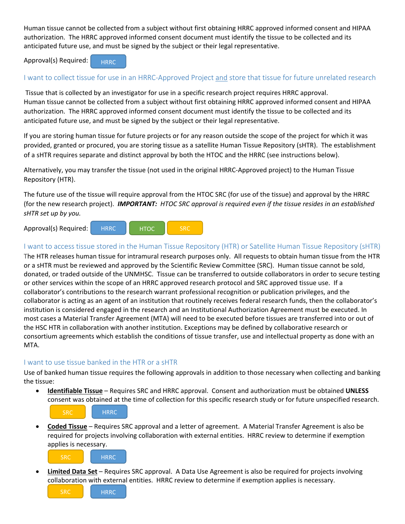Human tissue cannot be collected from a subject without first obtaining HRRC approved informed consent and HIPAA authorization. The HRRC approved informed consent document must identify the tissue to be collected and its anticipated future use, and must be signed by the subject or their legal representative.

Approval(s) Required:



#### I want to collect tissue for use in an HRRC‐Approved Project and store that tissue for future unrelated research

Tissue that is collected by an investigator for use in a specific research project requires HRRC approval. Human tissue cannot be collected from a subject without first obtaining HRRC approved informed consent and HIPAA authorization. The HRRC approved informed consent document must identify the tissue to be collected and its anticipated future use, and must be signed by the subject or their legal representative.

If you are storing human tissue for future projects or for any reason outside the scope of the project for which it was provided, granted or procured, you are storing tissue as a satellite Human Tissue Repository (sHTR). The establishment of a sHTR requires separate and distinct approval by both the HTOC and the HRRC (see instructions below).

Alternatively, you may transfer the tissue (not used in the original HRRC‐Approved project) to the Human Tissue Repository (HTR).

The future use of the tissue will require approval from the HTOC SRC (for use of the tissue) and approval by the HRRC (for the new research project). *IMPORTANT: HTOC SRC approval is required even if the tissue resides in an established sHTR set up by you.*

Approval(s) Required: HRRC HTOC SRC

#### I want to access tissue stored in the Human Tissue Repository (HTR) or Satellite Human Tissue Repository (sHTR)

The HTR releases human tissue for intramural research purposes only. All requests to obtain human tissue from the HTR or a sHTR must be reviewed and approved by the Scientific Review Committee (SRC). Human tissue cannot be sold, donated, or traded outside of the UNMHSC. Tissue can be transferred to outside collaborators in order to secure testing or other services within the scope of an HRRC approved research protocol and SRC approved tissue use. If a collaborator's contributions to the research warrant professional recognition or publication privileges, and the collaborator is acting as an agent of an institution that routinely receives federal research funds, then the collaborator's institution is considered engaged in the research and an Institutional Authorization Agreement must be executed. In most cases a Material Transfer Agreement (MTA) will need to be executed before tissues are transferred into or out of the HSC HTR in collaboration with another institution. Exceptions may be defined by collaborative research or consortium agreements which establish the conditions of tissue transfer, use and intellectual property as done with an MTA.

#### I want to use tissue banked in the HTR or a sHTR

Use of banked human tissue requires the following approvals in addition to those necessary when collecting and banking the tissue:

 **Identifiable Tissue** – Requires SRC and HRRC approval. Consent and authorization must be obtained **UNLESS** consent was obtained at the time of collection for this specific research study or for future unspecified research.



 **Coded Tissue** – Requires SRC approval and a letter of agreement. A Material Transfer Agreement is also be required for projects involving collaboration with external entities. HRRC review to determine if exemption applies is necessary.



**HRRC** 

 **Limited Data Set** – Requires SRC approval. A Data Use Agreement is also be required for projects involving collaboration with external entities. HRRC review to determine if exemption applies is necessary.

**SRC**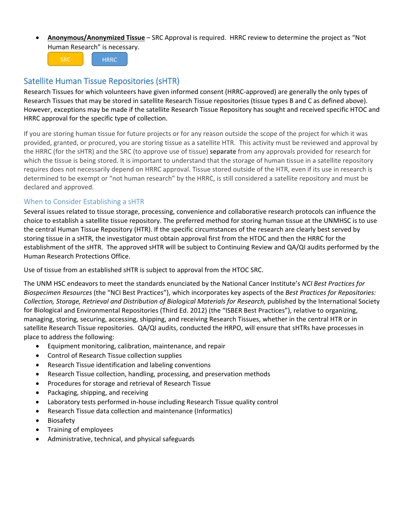**Anonymous/Anonymized Tissue** – SRC Approval is required. HRRC review to determine the project as "Not Human Research" is necessary.

SRC HRRC

# Satellite Human Tissue Repositories (sHTR)

Research Tissues for which volunteers have given informed consent (HRRC‐approved) are generally the only types of Research Tissues that may be stored in satellite Research Tissue repositories (tissue types B and C as defined above). However, exceptions may be made if the satellite Research Tissue Repository has sought and received specific HTOC and HRRC approval for the specific type of collection.

If you are storing human tissue for future projects or for any reason outside the scope of the project for which it was provided, granted, or procured, you are storing tissue as a satellite HTR. This activity must be reviewed and approval by the HRRC (for the sHTR) and the SRC (to approve use of tissue) **separate** from any approvals provided for research for which the tissue is being stored. It is important to understand that the storage of human tissue in a satellite repository requires does not necessarily depend on HRRC approval. Tissue stored outside of the HTR, even if its use in research is determined to be exempt or "not human research" by the HRRC, is still considered a satellite repository and must be declared and approved.

### When to Consider Establishing a sHTR

Several issues related to tissue storage, processing, convenience and collaborative research protocols can influence the choice to establish a satellite tissue repository. The preferred method for storing human tissue at the UNMHSC is to use the central Human Tissue Repository (HTR). If the specific circumstances of the research are clearly best served by storing tissue in a sHTR, the investigator must obtain approval first from the HTOC and then the HRRC for the establishment of the sHTR. The approved sHTR will be subject to Continuing Review and QA/QI audits performed by the Human Research Protections Office.

Use of tissue from an established sHTR is subject to approval from the HTOC SRC.

The UNM HSC endeavors to meet the standards enunciated by the National Cancer Institute's *NCI Best Practices for Biospecimen Resources* (the "NCI Best Practices"), which incorporates key aspects of the *Best Practices for Repositories: Collection, Storage, Retrieval and Distribution of Biological Materials for Research,* published by the International Society for Biological and Environmental Repositories (Third Ed. 2012) (the "ISBER Best Practices"), relative to organizing, managing, storing, securing, accessing, shipping, and receiving Research Tissues, whether in the central HTR or in satellite Research Tissue repositories. QA/QI audits, conducted the HRPO, will ensure that sHTRs have processes in place to address the following:

- Equipment monitoring, calibration, maintenance, and repair
- Control of Research Tissue collection supplies
- Research Tissue identification and labeling conventions
- Research Tissue collection, handling, processing, and preservation methods
- Procedures for storage and retrieval of Research Tissue
- Packaging, shipping, and receiving
- Laboratory tests performed in-house including Research Tissue quality control
- Research Tissue data collection and maintenance (Informatics)
- Biosafety
- Training of employees
- Administrative, technical, and physical safeguards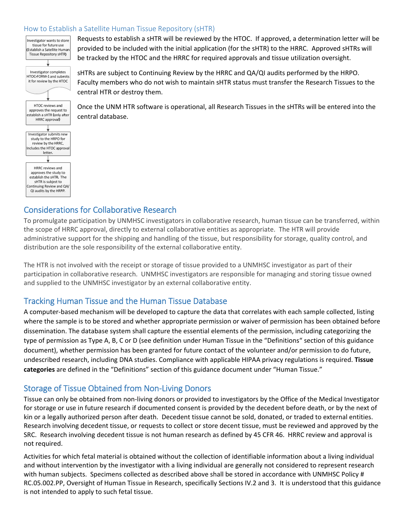#### How to Establish a Satellite Human Tissue Repository (sHTR)



Requests to establish a sHTR will be reviewed by the HTOC. If approved, a determination letter will be provided to be included with the initial application (for the sHTR) to the HRRC. Approved sHTRs will be tracked by the HTOC and the HRRC for required approvals and tissue utilization oversight.

sHTRs are subject to Continuing Review by the HRRC and QA/QI audits performed by the HRPO. Faculty members who do not wish to maintain sHTR status must transfer the Research Tissues to the central HTR or destroy them.

Once the UNM HTR software is operational, all Research Tissues in the sHTRs will be entered into the central database.

### Considerations for Collaborative Research

To promulgate participation by UNMHSC investigators in collaborative research, human tissue can be transferred, within the scope of HRRC approval, directly to external collaborative entities as appropriate. The HTR will provide administrative support for the shipping and handling of the tissue, but responsibility for storage, quality control, and distribution are the sole responsibility of the external collaborative entity.

The HTR is not involved with the receipt or storage of tissue provided to a UNMHSC investigator as part of their participation in collaborative research. UNMHSC investigators are responsible for managing and storing tissue owned and supplied to the UNMHSC investigator by an external collaborative entity.

## Tracking Human Tissue and the Human Tissue Database

A computer‐based mechanism will be developed to capture the data that correlates with each sample collected, listing where the sample is to be stored and whether appropriate permission or waiver of permission has been obtained before dissemination. The database system shall capture the essential elements of the permission, including categorizing the type of permission as Type A, B, C or D (see definition under Human Tissue in the "Definitions" section of this guidance document), whether permission has been granted for future contact of the volunteer and/or permission to do future, undescribed research, including DNA studies. Compliance with applicable HIPAA privacy regulations is required. **Tissue categories** are defined in the "Definitions" section of this guidance document under "Human Tissue."

## Storage of Tissue Obtained from Non‐Living Donors

Tissue can only be obtained from non‐living donors or provided to investigators by the Office of the Medical Investigator for storage or use in future research if documented consent is provided by the decedent before death, or by the next of kin or a legally authorized person after death. Decedent tissue cannot be sold, donated, or traded to external entities. Research involving decedent tissue, or requests to collect or store decent tissue, must be reviewed and approved by the SRC. Research involving decedent tissue is not human research as defined by 45 CFR 46. HRRC review and approval is not required.

Activities for which fetal material is obtained without the collection of identifiable information about a living individual and without intervention by the investigator with a living individual are generally not considered to represent research with human subjects. Specimens collected as described above shall be stored in accordance with UNMHSC Policy # RC.05.002.PP, Oversight of Human Tissue in Research, specifically Sections IV.2 and 3. It is understood that this guidance is not intended to apply to such fetal tissue.